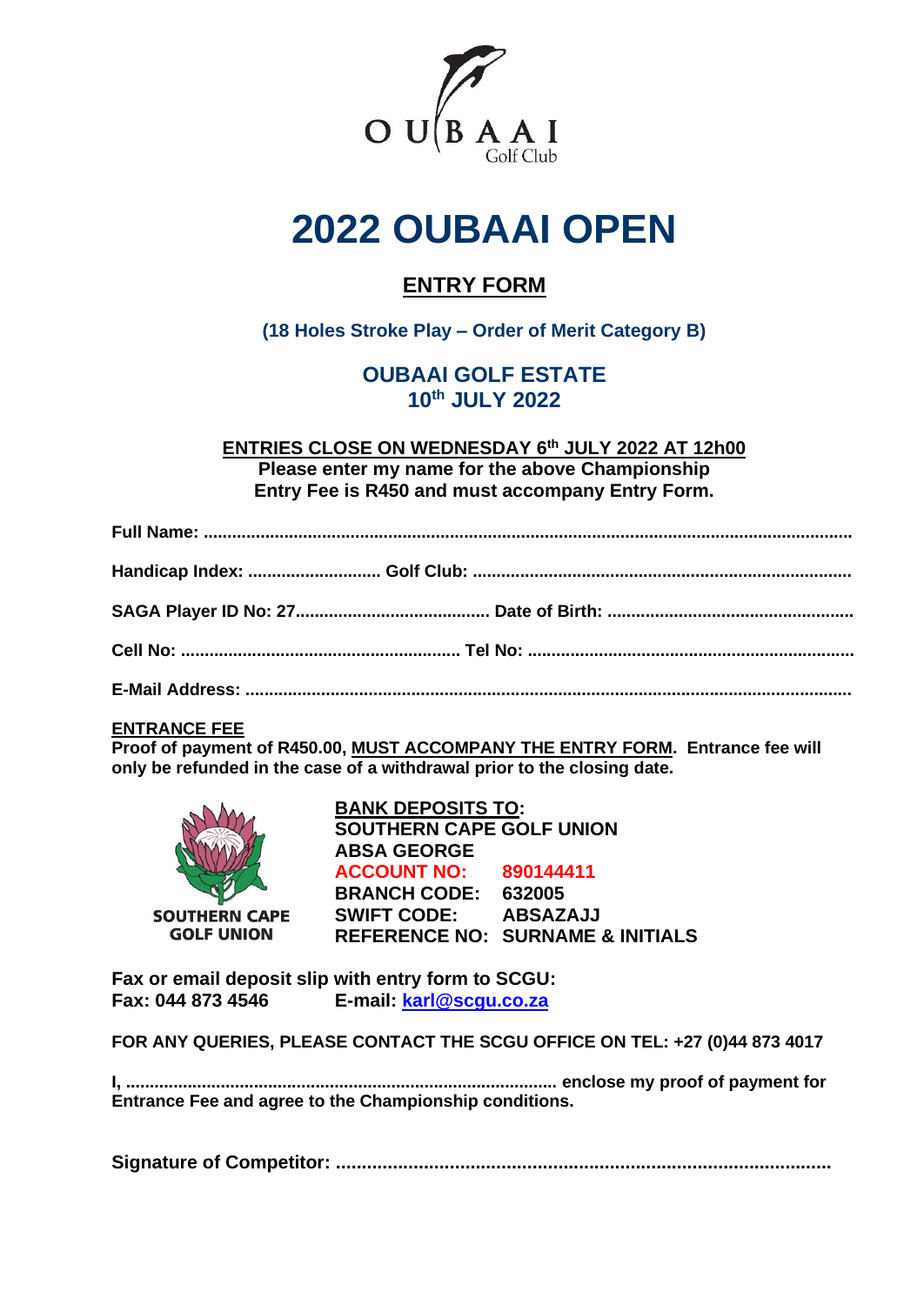

# **2022 OUBAAI OPEN**

# **ENTRY FORM**

# **(18 Holes Stroke Play – Order of Merit Category B)**

# **OUBAAI GOLF ESTATE 10th JULY 2022**

**ENTRIES CLOSE ON WEDNESDAY 6 th JULY 2022 AT 12h00 Please enter my name for the above Championship Entry Fee is R450 and must accompany Entry Form.**

## **ENTRANCE FEE**

**Proof of payment of R450.00, MUST ACCOMPANY THE ENTRY FORM. Entrance fee will only be refunded in the case of a withdrawal prior to the closing date.**



**BANK DEPOSITS TO: SOUTHERN CAPE GOLF UNION ABSA GEORGE ACCOUNT NO: 890144411 BRANCH CODE: 632005 SWIFT CODE: ABSAZAJJ REFERENCE NO: SURNAME & INITIALS**

**Fax or email deposit slip with entry form to SCGU: Fax: 044 873 4546 E-mail: [karl@scgu.co.za](mailto:lindy@scgu.co.za)**

**FOR ANY QUERIES, PLEASE CONTACT THE SCGU OFFICE ON TEL: +27 (0)44 873 4017**

**I, ........................................................................................... enclose my proof of payment for Entrance Fee and agree to the Championship conditions.**

**Signature of Competitor: ................................................................................................**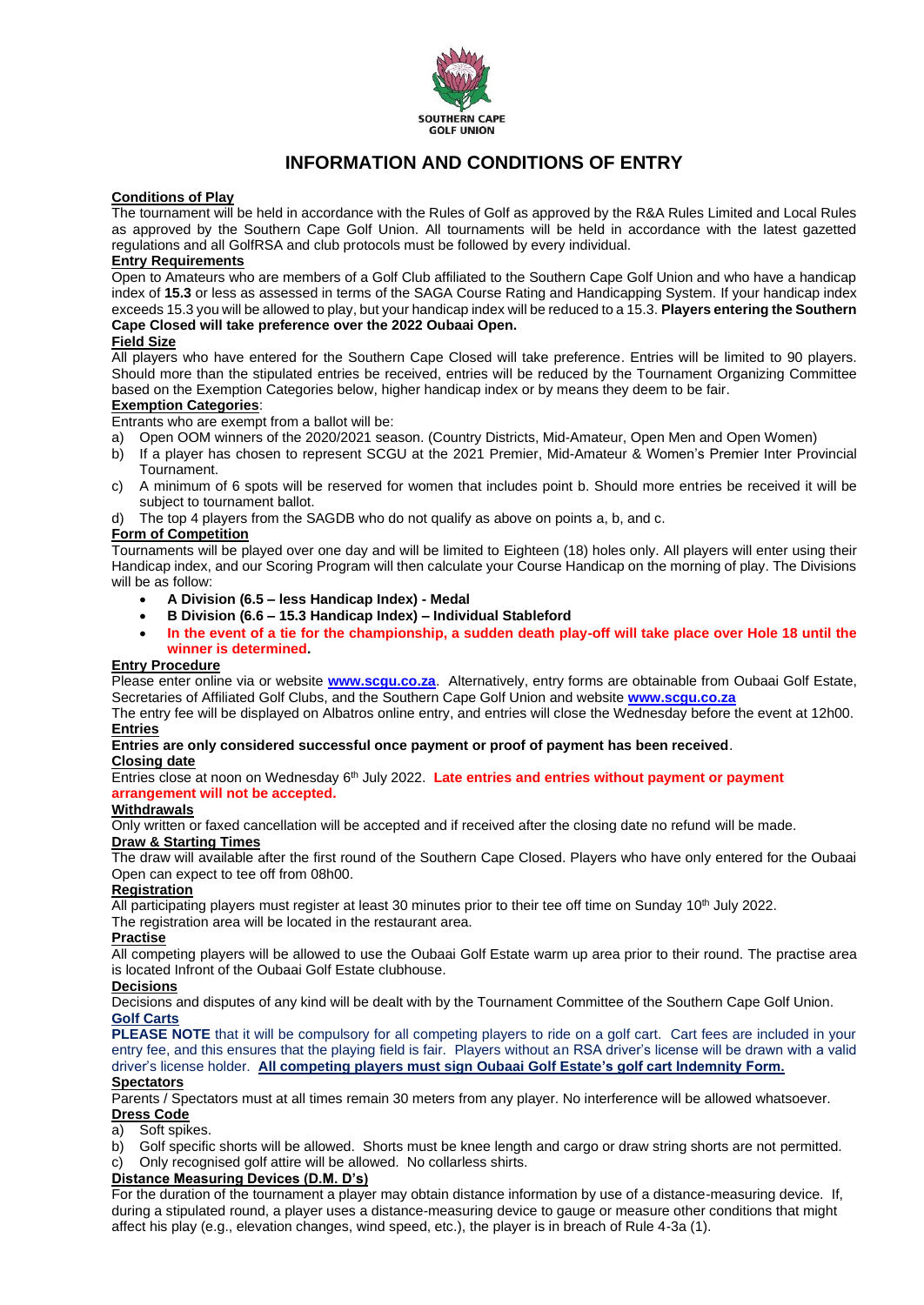

## **INFORMATION AND CONDITIONS OF ENTRY**

#### **Conditions of Play**

The tournament will be held in accordance with the Rules of Golf as approved by the R&A Rules Limited and Local Rules as approved by the Southern Cape Golf Union. All tournaments will be held in accordance with the latest gazetted regulations and all GolfRSA and club protocols must be followed by every individual.

#### **Entry Requirements**

Open to Amateurs who are members of a Golf Club affiliated to the Southern Cape Golf Union and who have a handicap index of **15.3** or less as assessed in terms of the SAGA Course Rating and Handicapping System. If your handicap index exceeds 15.3 you will be allowed to play, but your handicap index will be reduced to a 15.3. **Players entering the Southern Cape Closed will take preference over the 2022 Oubaai Open.**

#### **Field Size**

All players who have entered for the Southern Cape Closed will take preference. Entries will be limited to 90 players. Should more than the stipulated entries be received, entries will be reduced by the Tournament Organizing Committee based on the Exemption Categories below, higher handicap index or by means they deem to be fair.

#### **Exemption Categories**:

Entrants who are exempt from a ballot will be:

- a) Open OOM winners of the 2020/2021 season. (Country Districts, Mid-Amateur, Open Men and Open Women)
- b) If a player has chosen to represent SCGU at the 2021 Premier, Mid-Amateur & Women's Premier Inter Provincial Tournament.
- c) A minimum of 6 spots will be reserved for women that includes point b. Should more entries be received it will be subject to tournament ballot.
- d) The top 4 players from the SAGDB who do not qualify as above on points a, b, and c.

#### **Form of Competition**

Tournaments will be played over one day and will be limited to Eighteen (18) holes only. All players will enter using their Handicap index, and our Scoring Program will then calculate your Course Handicap on the morning of play. The Divisions will be as follow:

- **A Division (6.5 – less Handicap Index) - Medal**
- **B Division (6.6 – 15.3 Handicap Index) – Individual Stableford**
- **In the event of a tie for the championship, a sudden death play-off will take place over Hole 18 until the winner is determined.**

#### **Entry Procedure**

Please enter online via or website **[www.scgu.co.za](http://www.scgu.co.za/)**. Alternatively, entry forms are obtainable from Oubaai Golf Estate, Secretaries of Affiliated Golf Clubs, and the Southern Cape Golf Union and website **[www.scgu.co.za](http://www.scgu.co.za/)**

The entry fee will be displayed on Albatros online entry, and entries will close the Wednesday before the event at 12h00. **Entries**

### **Entries are only considered successful once payment or proof of payment has been received**.

#### **Closing date**

Entries close at noon on Wednesday 6<sup>th</sup> July 2022. Late entries and entries without payment or payment **arrangement will not be accepted.**

#### **Withdrawals**

Only written or faxed cancellation will be accepted and if received after the closing date no refund will be made.

## **Draw & Starting Times**

The draw will available after the first round of the Southern Cape Closed. Players who have only entered for the Oubaai Open can expect to tee off from 08h00.

#### **Registration**

All participating players must register at least 30 minutes prior to their tee off time on Sunday 10<sup>th</sup> July 2022.

The registration area will be located in the restaurant area.

#### **Practise**

All competing players will be allowed to use the Oubaai Golf Estate warm up area prior to their round. The practise area is located Infront of the Oubaai Golf Estate clubhouse.

#### **Decisions**

Decisions and disputes of any kind will be dealt with by the Tournament Committee of the Southern Cape Golf Union. **Golf Carts**

**PLEASE NOTE** that it will be compulsory for all competing players to ride on a golf cart. Cart fees are included in your entry fee, and this ensures that the playing field is fair. Players without an RSA driver's license will be drawn with a valid driver's license holder. **All competing players must sign Oubaai Golf Estate's golf cart Indemnity Form.**

#### **Spectators**

Parents / Spectators must at all times remain 30 meters from any player. No interference will be allowed whatsoever. **Dress Code**

#### a) Soft spikes.

- b) Golf specific shorts will be allowed. Shorts must be knee length and cargo or draw string shorts are not permitted.
- c) Only recognised golf attire will be allowed. No collarless shirts.

#### **Distance Measuring Devices (D.M. D's)**

For the duration of the tournament a player may obtain distance information by use of a distance-measuring device. If, during a stipulated round, a player uses a distance-measuring device to gauge or measure other conditions that might affect his play (e.g., elevation changes, wind speed, etc.), the player is in breach of Rule 4-3a (1).